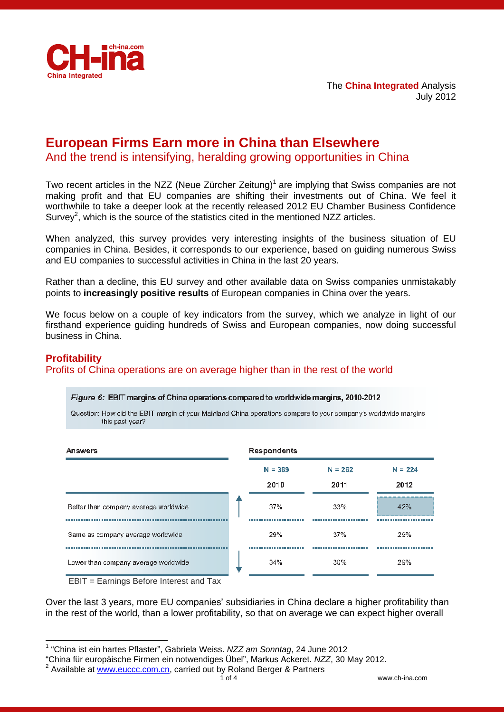

# **European Firms Earn more in China than Elsewhere**

And the trend is intensifying, heralding growing opportunities in China

Two recent articles in the NZZ (Neue Zürcher Zeitung)<sup>1</sup> are implying that Swiss companies are not making profit and that EU companies are shifting their investments out of China. We feel it worthwhile to take a deeper look at the recently released 2012 EU Chamber Business Confidence Survey<sup>2</sup>, which is the source of the statistics cited in the mentioned NZZ articles.

When analyzed, this survey provides very interesting insights of the business situation of EU companies in China. Besides, it corresponds to our experience, based on guiding numerous Swiss and EU companies to successful activities in China in the last 20 years.

Rather than a decline, this EU survey and other available data on Swiss companies unmistakably points to **increasingly positive results** of European companies in China over the years.

We focus below on a couple of key indicators from the survey, which we analyze in light of our firsthand experience guiding hundreds of Swiss and European companies, now doing successful business in China.

# **Profitability**

-

Profits of China operations are on average higher than in the rest of the world

#### Figure 6: EBIT margins of China operations compared to worldwide margins, 2010-2012

Question: How did the EBIT margin of your Mainland China operations compare to your company's worldwide margins this past year?



EBIT = Earnings Before Interest and Tax

Over the last 3 years, more EU companies' subsidiaries in China declare a higher profitability than in the rest of the world, than a lower profitability, so that on average we can expect higher overall

<sup>2</sup> Available at **www.euccc.com.cn, carried out by Roland Berger & Partners** 

<sup>1</sup> "China ist ein hartes Pflaster", Gabriela Weiss. *NZZ am Sonntag*, 24 June 2012

<sup>&</sup>quot;China fü r europä ische Firmen ein notwendiges Ü bel", Markus Ackeret. *NZZ*, 30 May 2012.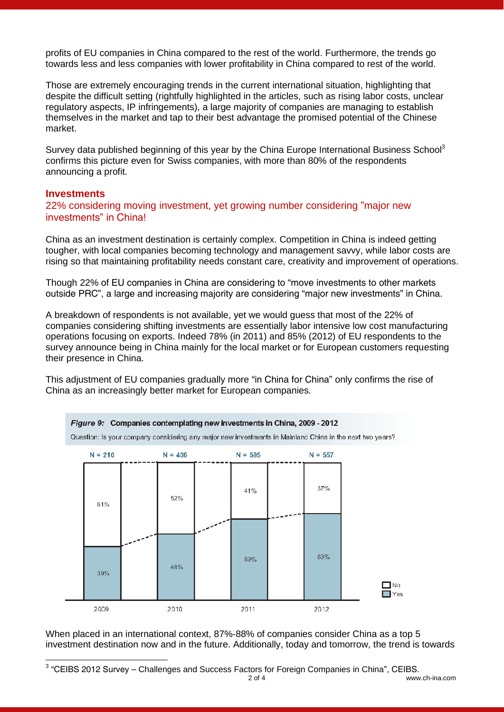profits of EU companies in China compared to the rest of the world. Furthermore, the trends go towards less and less companies with lower profitability in China compared to rest of the world.

Those are extremely encouraging trends in the current international situation, highlighting that despite the difficult setting (rightfully highlighted in the articles, such as rising labor costs, unclear regulatory aspects, IP infringements), a large majority of companies are managing to establish themselves in the market and tap to their best advantage the promised potential of the Chinese market.

Survey data published beginning of this year by the China Europe International Business School<sup>3</sup> confirms this picture even for Swiss companies, with more than 80% of the respondents announcing a profit.

#### **Investments**

22% considering moving investment, yet growing number considering "major new investments" in China!

China as an investment destination is certainly complex. Competition in China is indeed getting tougher, with local companies becoming technology and management savvy, while labor costs are rising so that maintaining profitability needs constant care, creativity and improvement of operations.

Though 22% of EU companies in China are considering to "move investments to other markets outside PRC", a large and increasing majority are considering "major new investments" in China.

A breakdown of respondents is not available, yet we would guess that most of the 22% of companies considering shifting investments are essentially labor intensive low cost manufacturing operations focusing on exports. Indeed 78% (in 2011) and 85% (2012) of EU respondents to the survey announce being in China mainly for the local market or for European customers requesting their presence in China.

This adjustment of EU companies gradually more "in China for China" only confirms the rise of China as an increasingly better market for European companies.



When placed in an international context, 87%-88% of companies consider China as a top 5 investment destination now and in the future. Additionally, today and tomorrow, the trend is towards

<sup>2</sup> of 4 www.ch-ina.com - $3$  "CEIBS 2012 Survey – Challenges and Success Factors for Foreign Companies in China", CEIBS.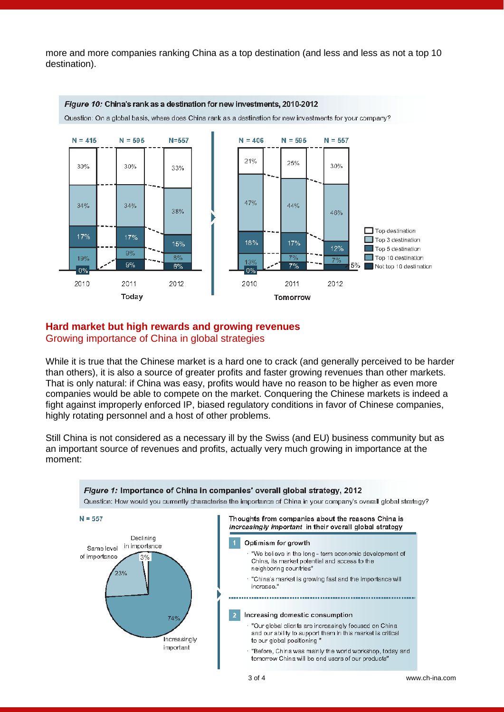more and more companies ranking China as a top destination (and less and less as not a top 10 destination).



# **Hard market but high rewards and growing revenues**  Growing importance of China in global strategies

While it is true that the Chinese market is a hard one to crack (and generally perceived to be harder than others), it is also a source of greater profits and faster growing revenues than other markets. That is only natural: if China was easy, profits would have no reason to be higher as even more companies would be able to compete on the market. Conquering the Chinese markets is indeed a fight against improperly enforced IP, biased regulatory conditions in favor of Chinese companies, highly rotating personnel and a host of other problems.

Still China is not considered as a necessary ill by the Swiss (and EU) business community but as an important source of revenues and profits, actually very much growing in importance at the moment: